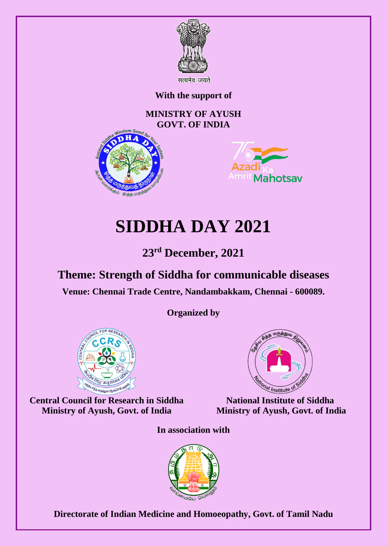

**With the support of**

# **MINISTRY OF AYUSH GOVT. OF INDIA**





# **SIDDHA DAY 2021**

# **23rd December, 2021**

# **Theme: Strength of Siddha for communicable diseases**

**Venue: Chennai Trade Centre, Nandambakkam, Chennai - 600089.**

**Organized by** 



**Central Council for Research in Siddha Ministry of Ayush, Govt. of India**



**National Institute of Siddha Ministry of Ayush, Govt. of India**

**In association with** 



**Directorate of Indian Medicine and Homoeopathy, Govt. of Tamil Nadu**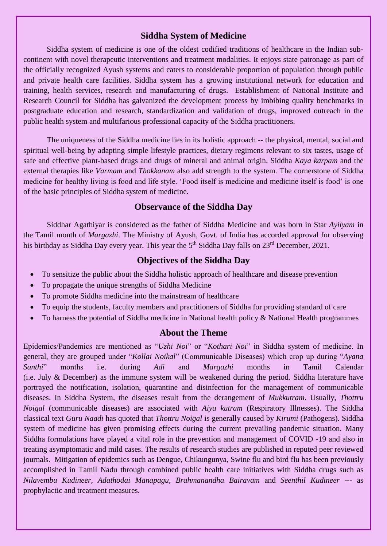# **Siddha System of Medicine**

Siddha system of medicine is one of the oldest codified traditions of healthcare in the Indian subcontinent with novel therapeutic interventions and treatment modalities. It enjoys state patronage as part of the officially recognized Ayush systems and caters to considerable proportion of population through public and private health care facilities. Siddha system has a growing institutional network for education and training, health services, research and manufacturing of drugs. Establishment of National Institute and Research Council for Siddha has galvanized the development process by imbibing quality benchmarks in postgraduate education and research, standardization and validation of drugs, improved outreach in the public health system and multifarious professional capacity of the Siddha practitioners.

The uniqueness of the Siddha medicine lies in its holistic approach -- the physical, mental, social and spiritual well-being by adapting simple lifestyle practices, dietary regimens relevant to six tastes, usage of safe and effective plant-based drugs and drugs of mineral and animal origin. Siddha *Kaya karpam* and the external therapies like *Varmam* and *Thokkanam* also add strength to the system. The cornerstone of Siddha medicine for healthy living is food and life style. 'Food itself is medicine and medicine itself is food' is one of the basic principles of Siddha system of medicine.

# **Observance of the Siddha Day**

Siddhar Agathiyar is considered as the father of Siddha Medicine and was born in Star *Ayilyam* in the Tamil month of *Margazhi*. The Ministry of Ayush, Govt. of India has accorded approval for observing his birthday as Siddha Day every year. This year the 5<sup>th</sup> Siddha Day falls on 23<sup>rd</sup> December, 2021.

# **Objectives of the Siddha Day**

- To sensitize the public about the Siddha holistic approach of healthcare and disease prevention
- To propagate the unique strengths of Siddha Medicine
- To promote Siddha medicine into the mainstream of healthcare
- To equip the students, faculty members and practitioners of Siddha for providing standard of care
- To harness the potential of Siddha medicine in National health policy & National Health programmes

# **About the Theme**

Epidemics/Pandemics are mentioned as "*Uzhi Noi*" or "*Kothari Noi*" in Siddha system of medicine. In general, they are grouped under "*Kollai Noikal*" (Communicable Diseases) which crop up during "*Ayana Santhi*" months i.e. during *Adi* and *Margazhi* months in Tamil Calendar (i.e. July & December) as the immune system will be weakened during the period. Siddha literature have portrayed the notification, isolation, quarantine and disinfection for the management of communicable diseases. In Siddha System, the diseases result from the derangement of *Mukkutram*. Usually, *Thottru Noigal* (communicable diseases) are associated with *Aiya kutram* (Respiratory Illnesses). The Siddha classical text *Guru Naadi* has quoted that *Thottru Noigal* is generally caused by *Kirumi* (Pathogens). Siddha system of medicine has given promising effects during the current prevailing pandemic situation. Many Siddha formulations have played a vital role in the prevention and management of COVID -19 and also in treating asymptomatic and mild cases. The results of research studies are published in reputed peer reviewed journals. Mitigation of epidemics such as Dengue, Chikungunya, Swine flu and bird flu has been previously accomplished in Tamil Nadu through combined public health care initiatives with Siddha drugs such as *Nilavembu Kudineer, Adathodai Manapagu, Brahmanandha Bairavam* and *Seenthil Kudineer* --- as prophylactic and treatment measures.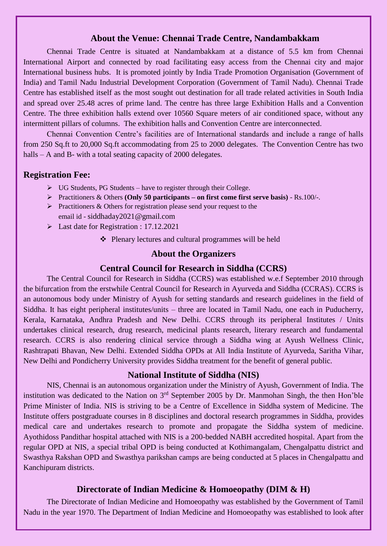#### **About the Venue: Chennai Trade Centre, Nandambakkam**

Chennai Trade Centre is situated at Nandambakkam at a distance of 5.5 km from Chennai International Airport and connected by road facilitating easy access from the Chennai city and major International business hubs. It is promoted jointly by India Trade Promotion Organisation (Government of India) and Tamil Nadu Industrial Development Corporation (Government of Tamil Nadu). Chennai Trade Centre has established itself as the most sought out destination for all trade related activities in South India and spread over 25.48 acres of prime land. The centre has three large Exhibition Halls and a Convention Centre. The three exhibition halls extend over 10560 Square meters of air conditioned space, without any intermittent pillars of columns. The exhibition halls and Convention Centre are interconnected.

Chennai Convention Centre's facilities are of International standards and include a range of halls from 250 Sq.ft to 20,000 Sq.ft accommodating from 25 to 2000 delegates. The Convention Centre has two halls – A and B- with a total seating capacity of 2000 delegates.

#### **Registration Fee:**

- $\triangleright$  UG Students, PG Students have to register through their College.
- Practitioners & Others **(Only 50 participants – on first come first serve basis)** Rs.100/-.
- $\triangleright$  Practitioners & Others for registration please send your request to the email id - siddhaday2021@gmail.com
- Last date for Registration : 17.12.2021
	- ❖ Plenary lectures and cultural programmes will be held

#### **About the Organizers**

#### **Central Council for Research in Siddha (CCRS)**

The Central Council for Research in Siddha (CCRS) was established w.e.f September 2010 through the bifurcation from the erstwhile Central Council for Research in Ayurveda and Siddha (CCRAS). CCRS is an autonomous body under Ministry of Ayush for setting standards and research guidelines in the field of Siddha. It has eight peripheral institutes/units – three are located in Tamil Nadu, one each in Puducherry, Kerala, Karnataka, Andhra Pradesh and New Delhi. CCRS through its peripheral Institutes / Units undertakes clinical research, drug research, medicinal plants research, literary research and fundamental research. CCRS is also rendering clinical service through a Siddha wing at Ayush Wellness Clinic, Rashtrapati Bhavan, New Delhi. Extended Siddha OPDs at All India Institute of Ayurveda, Saritha Vihar, New Delhi and Pondicherry University provides Siddha treatment for the benefit of general public.

#### **National Institute of Siddha (NIS)**

NIS, Chennai is an autonomous organization under the Ministry of Ayush, Government of India. The institution was dedicated to the Nation on 3<sup>rd</sup> September 2005 by Dr. Manmohan Singh, the then Hon'ble Prime Minister of India. NIS is striving to be a Centre of Excellence in Siddha system of Medicine. The Institute offers postgraduate courses in 8 disciplines and doctoral research programmes in Siddha, provides medical care and undertakes research to promote and propagate the Siddha system of medicine. Ayothidoss Pandithar hospital attached with NIS is a 200-bedded NABH accredited hospital. Apart from the regular OPD at NIS, a special tribal OPD is being conducted at Kothimangalam, Chengalpattu district and Swasthya Rakshan OPD and Swasthya parikshan camps are being conducted at 5 places in Chengalpattu and Kanchipuram districts.

#### **Directorate of Indian Medicine & Homoeopathy (DIM & H)**

The Directorate of Indian Medicine and Homoeopathy was established by the Government of Tamil Nadu in the year 1970. The Department of Indian Medicine and Homoeopathy was established to look after